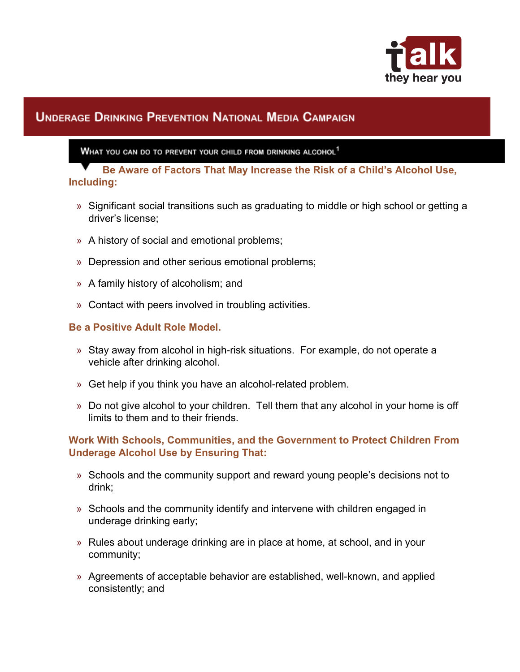

# **UNDERAGE DRINKING PREVENTION NATIONAL MEDIA CAMPAIGN**

WHAT YOU CAN DO TO PREVENT YOUR CHILD FROM DRINKING ALCOHOL<sup>1</sup>

**Be Aware of Factors That May Increase the Risk of a Child's Alcohol Use, Including:**

- » Significant social transitions such as graduating to middle or high school or getting a driver's license;
- » A history of social and emotional problems;
- » Depression and other serious emotional problems;
- » A family history of alcoholism; and
- » Contact with peers involved in troubling activities.

## **Be a Positive Adult Role Model.**

- » Stay away from alcohol in high-risk situations. For example, do not operate a vehicle after drinking alcohol.
- » Get help if you think you have an alcohol-related problem.
- » Do not give alcohol to your children. Tell them that any alcohol in your home is off limits to them and to their friends.

## **Work With Schools, Communities, and the Government to Protect Children From Underage Alcohol Use by Ensuring That:**

- » Schools and the community support and reward young people's decisions not to drink;
- » Schools and the community identify and intervene with children engaged in underage drinking early;
- » Rules about underage drinking are in place at home, at school, and in your community;
- » Agreements of acceptable behavior are established, well-known, and applied consistently; and